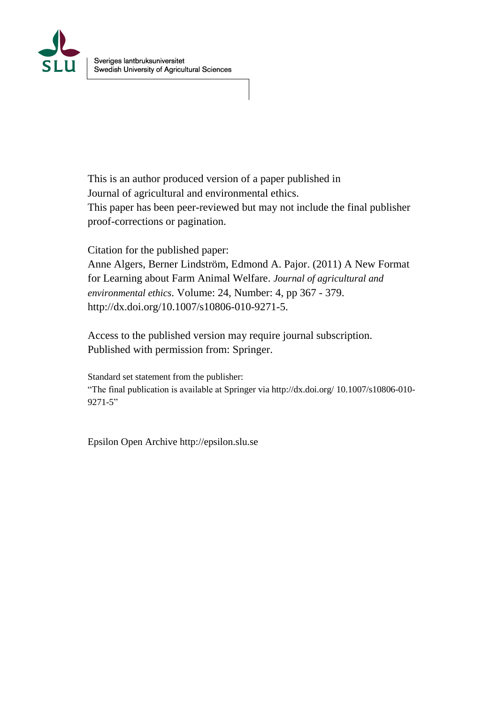

This is an author produced version of a paper published in Journal of agricultural and environmental ethics. This paper has been peer-reviewed but may not include the final publisher proof-corrections or pagination.

Citation for the published paper: Anne Algers, Berner Lindström, Edmond A. Pajor. (2011) A New Format for Learning about Farm Animal Welfare. *Journal of agricultural and environmental ethics*. Volume: 24, Number: 4, pp 367 - 379. http://dx.doi.org/10.1007/s10806-010-9271-5.

Access to the published version may require journal subscription. Published with permission from: Springer.

Standard set statement from the publisher: "The final publication is available at Springer via http://dx.doi.org/ 10.1007/s10806-010- 9271-5"

Epsilon Open Archive http://epsilon.slu.se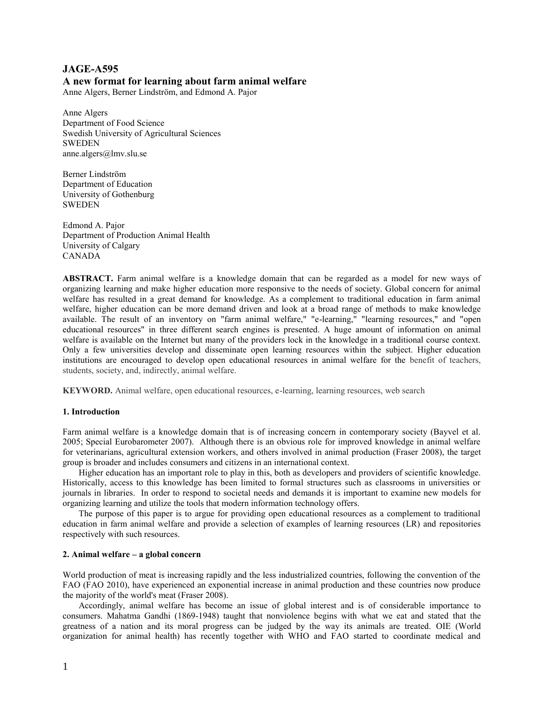# **JAGE-A595 A new format for learning about farm animal welfare**

Anne Algers, Berner Lindström, and Edmond A. Pajor

Anne Algers Department of Food Science Swedish University of Agricultural Sciences SWEDEN anne.algers@lmv.slu.se

Berner Lindström Department of Education University of Gothenburg **SWEDEN** 

Edmond A. Pajor Department of Production Animal Health University of Calgary CANADA

**ABSTRACT.** Farm animal welfare is a knowledge domain that can be regarded as a model for new ways of organizing learning and make higher education more responsive to the needs of society. Global concern for animal welfare has resulted in a great demand for knowledge. As a complement to traditional education in farm animal welfare, higher education can be more demand driven and look at a broad range of methods to make knowledge available. The result of an inventory on "farm animal welfare," "e-learning," "learning resources," and "open educational resources" in three different search engines is presented. A huge amount of information on animal welfare is available on the Internet but many of the providers lock in the knowledge in a traditional course context. Only a few universities develop and disseminate open learning resources within the subject. Higher education institutions are encouraged to develop open educational resources in animal welfare for the benefit of teachers, students, society, and, indirectly, animal welfare.

**KEYWORD.** Animal welfare, open educational resources, e-learning, learning resources, web search

# **1. Introduction**

Farm animal welfare is a knowledge domain that is of increasing concern in contemporary society (Bayvel et al. 2005; Special Eurobarometer 2007). Although there is an obvious role for improved knowledge in animal welfare for veterinarians, agricultural extension workers, and others involved in animal production (Fraser 2008), the target group is broader and includes consumers and citizens in an international context.

Higher education has an important role to play in this, both as developers and providers of scientific knowledge. Historically, access to this knowledge has been limited to formal structures such as classrooms in universities or journals in libraries. In order to respond to societal needs and demands it is important to examine new models for organizing learning and utilize the tools that modern information technology offers.

The purpose of this paper is to argue for providing open educational resources as a complement to traditional education in farm animal welfare and provide a selection of examples of learning resources (LR) and repositories respectively with such resources.

## **2. Animal welfare – a global concern**

World production of meat is increasing rapidly and the less industrialized countries, following the convention of the FAO (FAO 2010), have experienced an exponential increase in animal production and these countries now produce the majority of the world's meat (Fraser 2008).

Accordingly, animal welfare has become an issue of global interest and is of considerable importance to consumers. Mahatma Gandhi (1869-1948) taught that nonviolence begins with what we eat and stated that the greatness of a nation and its moral progress can be judged by the way its animals are treated. OIE (World organization for animal health) has recently together with WHO and FAO started to coordinate medical and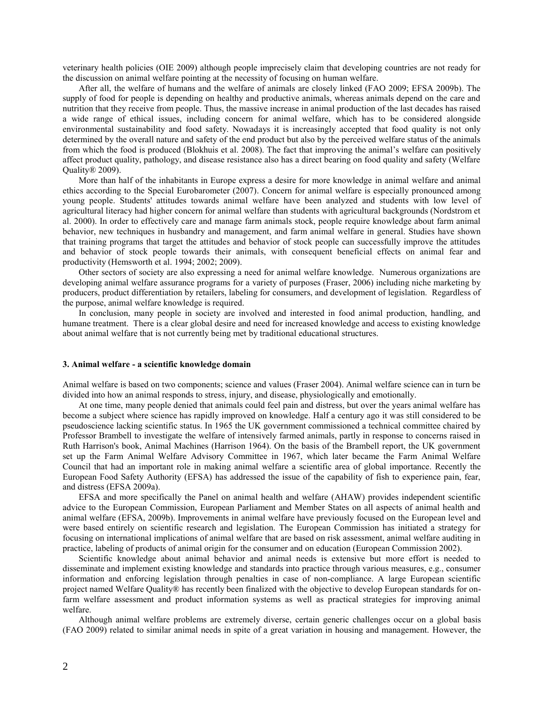veterinary health policies (OIE 2009) although people imprecisely claim that developing countries are not ready for the discussion on animal welfare pointing at the necessity of focusing on human welfare.

After all, the welfare of humans and the welfare of animals are closely linked (FAO 2009; EFSA 2009b). The supply of food for people is depending on healthy and productive animals, whereas animals depend on the care and nutrition that they receive from people. Thus, the massive increase in animal production of the last decades has raised a wide range of ethical issues, including concern for animal welfare, which has to be considered alongside environmental sustainability and food safety. Nowadays it is increasingly accepted that food quality is not only determined by the overall nature and safety of the end product but also by the perceived welfare status of the animals from which the food is produced (Blokhuis et al. 2008). The fact that improving the animal's welfare can positively affect product quality, pathology, and disease resistance also has a direct bearing on food quality and safety (Welfare Quality® 2009).

More than half of the inhabitants in Europe express a desire for more knowledge in animal welfare and animal ethics according to the Special Eurobarometer (2007). Concern for animal welfare is especially pronounced among young people. Students' attitudes towards animal welfare have been analyzed and students with low level of agricultural literacy had higher concern for animal welfare than students with agricultural backgrounds (Nordstrom et al. 2000). In order to effectively care and manage farm animals stock, people require knowledge about farm animal behavior, new techniques in husbandry and management, and farm animal welfare in general. Studies have shown that training programs that target the attitudes and behavior of stock people can successfully improve the attitudes and behavior of stock people towards their animals, with consequent beneficial effects on animal fear and productivity (Hemsworth et al. 1994; 2002; 2009).

Other sectors of society are also expressing a need for animal welfare knowledge. Numerous organizations are developing animal welfare assurance programs for a variety of purposes (Fraser, 2006) including niche marketing by producers, product differentiation by retailers, labeling for consumers, and development of legislation. Regardless of the purpose, animal welfare knowledge is required.

In conclusion, many people in society are involved and interested in food animal production, handling, and humane treatment. There is a clear global desire and need for increased knowledge and access to existing knowledge about animal welfare that is not currently being met by traditional educational structures.

#### **3. Animal welfare - a scientific knowledge domain**

Animal welfare is based on two components; science and values (Fraser 2004). Animal welfare science can in turn be divided into how an animal responds to stress, injury, and disease, physiologically and emotionally.

At one time, many people denied that animals could feel pain and distress, but over the years animal welfare has become a subject where science has rapidly improved on knowledge. Half a century ago it was still considered to be pseudoscience lacking scientific status. In 1965 the UK government commissioned a technical committee chaired by Professor Brambell to investigate the welfare of intensively farmed animals, partly in response to concerns raised in Ruth Harrison's book, Animal Machines (Harrison 1964). On the basis of the Brambell report, the UK government set up the Farm Animal Welfare Advisory Committee in 1967, which later became the Farm Animal Welfare Council that had an important role in making animal welfare a scientific area of global importance. Recently the European Food Safety Authority (EFSA) has addressed the issue of the capability of fish to experience pain, fear, and distress (EFSA 2009a).

EFSA and more specifically the Panel on animal health and welfare (AHAW) provides independent scientific advice to the European Commission, European Parliament and Member States on all aspects of animal health and animal welfare (EFSA, 2009b). Improvements in animal welfare have previously focused on the European level and were based entirely on scientific research and legislation. The European Commission has initiated a strategy for focusing on international implications of animal welfare that are based on risk assessment, animal welfare auditing in practice, labeling of products of animal origin for the consumer and on education (European Commission 2002).

Scientific knowledge about animal behavior and animal needs is extensive but more effort is needed to disseminate and implement existing knowledge and standards into practice through various measures, e.g., consumer information and enforcing legislation through penalties in case of non-compliance. A large European scientific project named Welfare Quality® has recently been finalized with the objective to develop European standards for onfarm welfare assessment and product information systems as well as practical strategies for improving animal welfare.

Although animal welfare problems are extremely diverse, certain generic challenges occur on a global basis (FAO 2009) related to similar animal needs in spite of a great variation in housing and management. However, the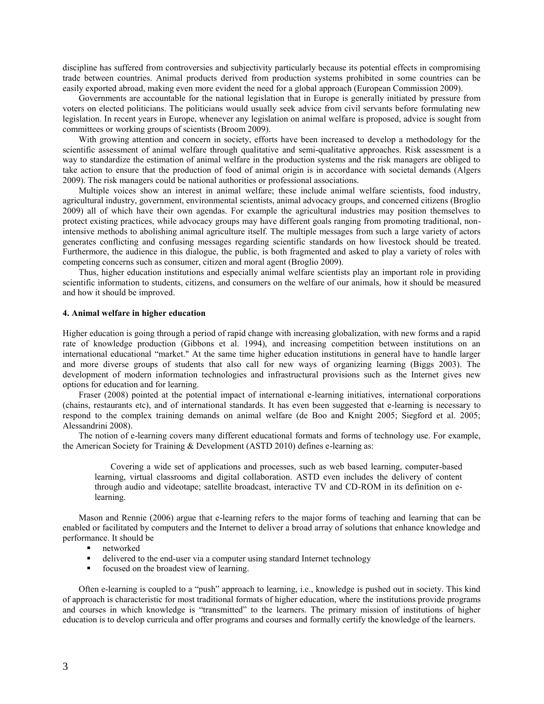discipline has suffered from controversies and subjectivity particularly because its potential effects in compromising trade between countries. Animal products derived from production systems prohibited in some countries can be easily exported abroad, making even more evident the need for a global approach (European Commission 2009).

Governments are accountable for the national legislation that in Europe is generally initiated by pressure from voters on elected politicians. The politicians would usually seek advice from civil servants before formulating new legislation. In recent years in Europe, whenever any legislation on animal welfare is proposed, advice is sought from committees or working groups of scientists (Broom 2009).

With growing attention and concern in society, efforts have been increased to develop a methodology for the scientific assessment of animal welfare through qualitative and semi-qualitative approaches. Risk assessment is a way to standardize the estimation of animal welfare in the production systems and the risk managers are obliged to take action to ensure that the production of food of animal origin is in accordance with societal demands (Algers 2009). The risk managers could be national authorities or professional associations.

Multiple voices show an interest in animal welfare; these include animal welfare scientists, food industry, agricultural industry, government, environmental scientists, animal advocacy groups, and concerned citizens (Broglio 2009) all of which have their own agendas. For example the agricultural industries may position themselves to protect existing practices, while advocacy groups may have different goals ranging from promoting traditional, nonintensive methods to abolishing animal agriculture itself. The multiple messages from such a large variety of actors generates conflicting and confusing messages regarding scientific standards on how livestock should be treated. Furthermore, the audience in this dialogue, the public, is both fragmented and asked to play a variety of roles with competing concerns such as consumer, citizen and moral agent (Broglio 2009).

Thus, higher education institutions and especially animal welfare scientists play an important role in providing scientific information to students, citizens, and consumers on the welfare of our animals, how it should be measured and how it should be improved.

## **4. Animal welfare in higher education**

Higher education is going through a period of rapid change with increasing globalization, with new forms and a rapid rate of knowledge production (Gibbons et al. 1994), and increasing competition between institutions on an international educational "market." At the same time higher education institutions in general have to handle larger and more diverse groups of students that also call for new ways of organizing learning (Biggs 2003). The development of modern information technologies and infrastructural provisions such as the Internet gives new options for education and for learning.

Fraser (2008) pointed at the potential impact of international e-learning initiatives, international corporations (chains, restaurants etc), and of international standards. It has even been suggested that e-learning is necessary to respond to the complex training demands on animal welfare (de Boo and Knight 2005; Siegford et al. 2005; Alessandrini 2008).

The notion of e-learning covers many different educational formats and forms of technology use. For example, the American Society for Training & Development (ASTD 2010) defines e-learning as:

Covering a wide set of applications and processes, such as web based learning, computer-based learning, virtual classrooms and digital collaboration. ASTD even includes the delivery of content through audio and videotape; satellite broadcast, interactive TV and CD-ROM in its definition on elearning.

Mason and Rennie (2006) argue that e-learning refers to the major forms of teaching and learning that can be enabled or facilitated by computers and the Internet to deliver a broad array of solutions that enhance knowledge and performance. It should be

- **networked**
- delivered to the end-user via a computer using standard Internet technology
- focused on the broadest view of learning.

Often e-learning is coupled to a "push" approach to learning, i.e., knowledge is pushed out in society. This kind of approach is characteristic for most traditional formats of higher education, where the institutions provide programs and courses in which knowledge is "transmitted" to the learners. The primary mission of institutions of higher education is to develop curricula and offer programs and courses and formally certify the knowledge of the learners.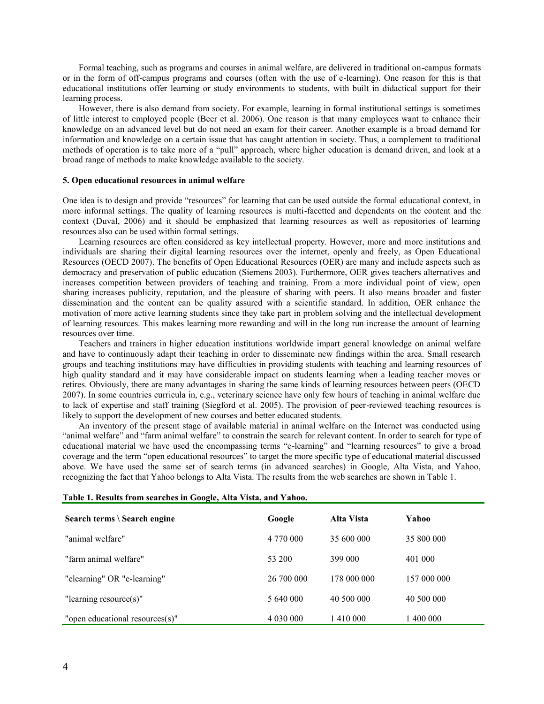Formal teaching, such as programs and courses in animal welfare, are delivered in traditional on-campus formats or in the form of off-campus programs and courses (often with the use of e-learning). One reason for this is that educational institutions offer learning or study environments to students, with built in didactical support for their learning process.

However, there is also demand from society. For example, learning in formal institutional settings is sometimes of little interest to employed people (Beer et al. 2006). One reason is that many employees want to enhance their knowledge on an advanced level but do not need an exam for their career. Another example is a broad demand for information and knowledge on a certain issue that has caught attention in society. Thus, a complement to traditional methods of operation is to take more of a "pull" approach, where higher education is demand driven, and look at a broad range of methods to make knowledge available to the society.

## **5. Open educational resources in animal welfare**

One idea is to design and provide "resources" for learning that can be used outside the formal educational context, in more informal settings. The quality of learning resources is multi-facetted and dependents on the content and the context (Duval, 2006) and it should be emphasized that learning resources as well as repositories of learning resources also can be used within formal settings.

Learning resources are often considered as key intellectual property. However, more and more institutions and individuals are sharing their digital learning resources over the internet, openly and freely, as Open Educational Resources (OECD 2007). The benefits of Open Educational Resources (OER) are many and include aspects such as democracy and preservation of public education (Siemens 2003). Furthermore, OER gives teachers alternatives and increases competition between providers of teaching and training. From a more individual point of view, open sharing increases publicity, reputation, and the pleasure of sharing with peers. It also means broader and faster dissemination and the content can be quality assured with a scientific standard. In addition, OER enhance the motivation of more active learning students since they take part in problem solving and the intellectual development of learning resources. This makes learning more rewarding and will in the long run increase the amount of learning resources over time.

Teachers and trainers in higher education institutions worldwide impart general knowledge on animal welfare and have to continuously adapt their teaching in order to disseminate new findings within the area. Small research groups and teaching institutions may have difficulties in providing students with teaching and learning resources of high quality standard and it may have considerable impact on students learning when a leading teacher moves or retires. Obviously, there are many advantages in sharing the same kinds of learning resources between peers (OECD 2007). In some countries curricula in, e.g., veterinary science have only few hours of teaching in animal welfare due to lack of expertise and staff training (Siegford et al. 2005). The provision of peer-reviewed teaching resources is likely to support the development of new courses and better educated students.

An inventory of the present stage of available material in animal welfare on the Internet was conducted using "animal welfare" and "farm animal welfare" to constrain the search for relevant content. In order to search for type of educational material we have used the encompassing terms "e-learning" and "learning resources" to give a broad coverage and the term "open educational resources" to target the more specific type of educational material discussed above. We have used the same set of search terms (in advanced searches) in Google, Alta Vista, and Yahoo, recognizing the fact that Yahoo belongs to Alta Vista. The results from the web searches are shown in Table 1.

| Search terms \ Search engine    | Google     | Alta Vista  | Yahoo       |
|---------------------------------|------------|-------------|-------------|
| "animal welfare"                | 4 770 000  | 35 600 000  | 35 800 000  |
| "farm animal welfare"           | 53 200     | 399 000     | 401 000     |
| "elearning" OR "e-learning"     | 26 700 000 | 178 000 000 | 157 000 000 |
| "learning resource $(s)$ "      | 5 640 000  | 40 500 000  | 40 500 000  |
| "open educational resources(s)" |            | 410 000     | 1400 000    |

| Table 1. Results from searches in Google, Alta Vista, and Yahoo. |
|------------------------------------------------------------------|
|------------------------------------------------------------------|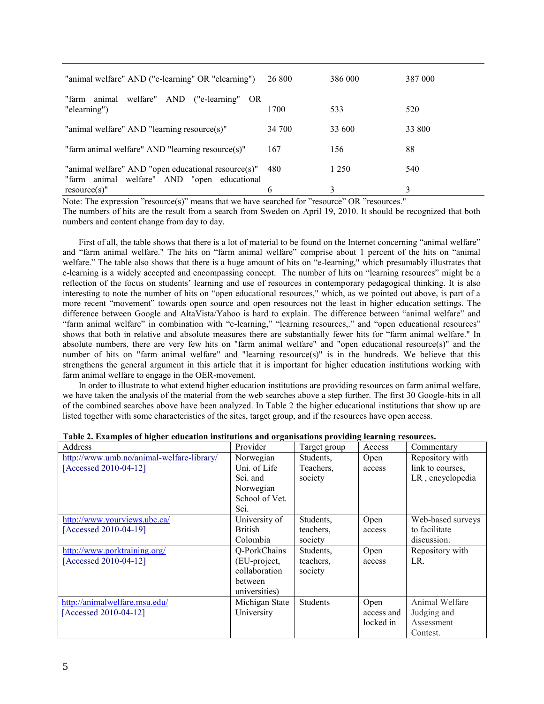| "animal welfare" AND ("e-learning" OR "elearning")                                                 | 26 800 | 386 000 | 387 000 |
|----------------------------------------------------------------------------------------------------|--------|---------|---------|
| "farm animal welfare" AND ("e-learning" OR<br>"elearning")                                         | 1700   | 533     | 520     |
| "animal welfare" AND "learning resource(s)"                                                        | 34 700 | 33 600  | 33 800  |
| "farm animal welfare" AND "learning resource(s)"                                                   | 167    | 156     | 88      |
| "animal welfare" AND "open educational resource(s)"<br>"farm animal welfare" AND "open educational | 480    | 1 2 5 0 | 540     |
| $resource(s)$ "                                                                                    | h      | 3       | 3       |

Note: The expression "resource(s)" means that we have searched for "resource" OR "resources."

The numbers of hits are the result from a search from Sweden on April 19, 2010. It should be recognized that both numbers and content change from day to day.

First of all, the table shows that there is a lot of material to be found on the Internet concerning "animal welfare" and "farm animal welfare." The hits on "farm animal welfare" comprise about 1 percent of the hits on "animal welfare." The table also shows that there is a huge amount of hits on "e-learning," which presumably illustrates that e-learning is a widely accepted and encompassing concept. The number of hits on "learning resources" might be a reflection of the focus on students' learning and use of resources in contemporary pedagogical thinking. It is also interesting to note the number of hits on "open educational resources," which, as we pointed out above, is part of a more recent "movement" towards open source and open resources not the least in higher education settings. The difference between Google and AltaVista/Yahoo is hard to explain. The difference between "animal welfare" and "farm animal welfare" in combination with "e-learning," "learning resources,." and "open educational resources" shows that both in relative and absolute measures there are substantially fewer hits for "farm animal welfare." In absolute numbers, there are very few hits on "farm animal welfare" and "open educational resource(s)" and the number of hits on "farm animal welfare" and "learning resource(s)" is in the hundreds. We believe that this strengthens the general argument in this article that it is important for higher education institutions working with farm animal welfare to engage in the OER-movement.

In order to illustrate to what extend higher education institutions are providing resources on farm animal welfare, we have taken the analysis of the material from the web searches above a step further. The first 30 Google-hits in all of the combined searches above have been analyzed. In Table 2 the higher educational institutions that show up are listed together with some characteristics of the sites, target group, and if the resources have open access.

| Address                                   | Provider       | Target group    | Access     | Commentary        |
|-------------------------------------------|----------------|-----------------|------------|-------------------|
| http://www.umb.no/animal-welfare-library/ | Norwegian      | Students,       | Open       | Repository with   |
| [Accessed 2010-04-12]                     | Uni. of Life   | Teachers,       | access     | link to courses,  |
|                                           | Sci. and       | society         |            | LR, encyclopedia  |
|                                           | Norwegian      |                 |            |                   |
|                                           | School of Vet. |                 |            |                   |
|                                           | Sci.           |                 |            |                   |
| http://www.yourviews.ubc.ca/              | University of  | Students.       | Open       | Web-based surveys |
| [Accessed 2010-04-19]                     | <b>British</b> | teachers,       | access     | to facilitate     |
|                                           | Colombia       | society         |            | discussion.       |
| http://www.porktraining.org/              | Q-PorkChains   | Students.       | Open       | Repository with   |
| [Accessed 2010-04-12]                     | (EU-project,   | teachers.       | access     | LR.               |
|                                           | collaboration  | society         |            |                   |
|                                           | between        |                 |            |                   |
|                                           | universities)  |                 |            |                   |
| http://animalwelfare.msu.edu/             | Michigan State | <b>Students</b> | Open       | Animal Welfare    |
| [Accessed 2010-04-12]                     | University     |                 | access and | Judging and       |
|                                           |                |                 | locked in  | Assessment        |
|                                           |                |                 |            | Contest.          |

**Table 2. Examples of higher education institutions and organisations providing learning resources.**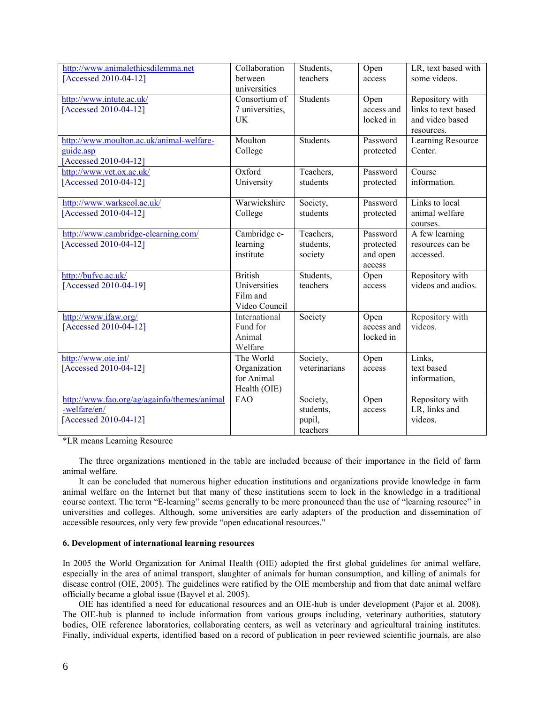| http://www.animalethicsdilemma.net                | Collaboration           | Students,             | Open                    | LR, text based with           |
|---------------------------------------------------|-------------------------|-----------------------|-------------------------|-------------------------------|
| [Accessed 2010-04-12]                             | between<br>universities | teachers              | access                  | some videos.                  |
| http://www.intute.ac.uk/                          | Consortium of           | Students              | Open                    | Repository with               |
| [Accessed 2010-04-12]                             | 7 universities,         |                       | access and              | links to text based           |
|                                                   | UK                      |                       | locked in               | and video based<br>resources. |
| http://www.moulton.ac.uk/animal-welfare-          | Moulton                 | Students              | Password                | Learning Resource             |
| guide.asp                                         | College                 |                       | protected               | Center.                       |
| [Accessed 2010-04-12]                             |                         |                       |                         |                               |
| http://www.vet.ox.ac.uk/<br>[Accessed 2010-04-12] | Oxford<br>University    | Teachers,<br>students | Password<br>protected   | Course<br>information.        |
|                                                   |                         |                       |                         |                               |
| http://www.warkscol.ac.uk/                        | Warwickshire            | Society,              | Password                | Links to local                |
| [Accessed 2010-04-12]                             | College                 | students              | protected               | animal welfare<br>courses.    |
| http://www.cambridge-elearning.com/               | Cambridge e-            | Teachers,             | Password                | A few learning                |
| [Accessed 2010-04-12]                             | learning                | students.             | protected               | resources can be              |
|                                                   | institute               | society               | and open                | accessed.                     |
| http://bufvc.ac.uk/                               | <b>British</b>          | Students,             | access<br>Open          | Repository with               |
| [Accessed 2010-04-19]                             | Universities            | teachers              | access                  | videos and audios.            |
|                                                   | Film and                |                       |                         |                               |
|                                                   | Video Council           |                       |                         |                               |
| http://www.ifaw.org/                              | International           | Society               | Open                    | Repository with               |
| [Accessed 2010-04-12]                             | Fund for<br>Animal      |                       | access and<br>locked in | videos.                       |
|                                                   | Welfare                 |                       |                         |                               |
| http://www.oie.int/                               | The World               | Society,              | Open                    | Links,                        |
| [Accessed 2010-04-12]                             | Organization            | veterinarians         | access                  | text based                    |
|                                                   | for Animal              |                       |                         | information,                  |
|                                                   | Health (OIE)            |                       |                         |                               |
| http://www.fao.org/ag/againfo/themes/animal       | FAO                     | Society,              | Open                    | Repository with               |
| -welfare/en/<br>[Accessed 2010-04-12]             |                         | students,<br>pupil,   | access                  | LR, links and<br>videos.      |
|                                                   |                         | teachers              |                         |                               |

\*LR means Learning Resource

The three organizations mentioned in the table are included because of their importance in the field of farm animal welfare.

It can be concluded that numerous higher education institutions and organizations provide knowledge in farm animal welfare on the Internet but that many of these institutions seem to lock in the knowledge in a traditional course context. The term "E-learning" seems generally to be more pronounced than the use of "learning resource" in universities and colleges. Although, some universities are early adapters of the production and dissemination of accessible resources, only very few provide "open educational resources."

## **6. Development of international learning resources**

In 2005 the World Organization for Animal Health (OIE) adopted the first global guidelines for animal welfare, especially in the area of animal transport, slaughter of animals for human consumption, and killing of animals for disease control (OIE, 2005). The guidelines were ratified by the OIE membership and from that date animal welfare officially became a global issue (Bayvel et al. 2005).

OIE has identified a need for educational resources and an OIE-hub is under development (Pajor et al. 2008). The OIE-hub is planned to include information from various groups including, veterinary authorities, statutory bodies, OIE reference laboratories, collaborating centers, as well as veterinary and agricultural training institutes. Finally, individual experts, identified based on a record of publication in peer reviewed scientific journals, are also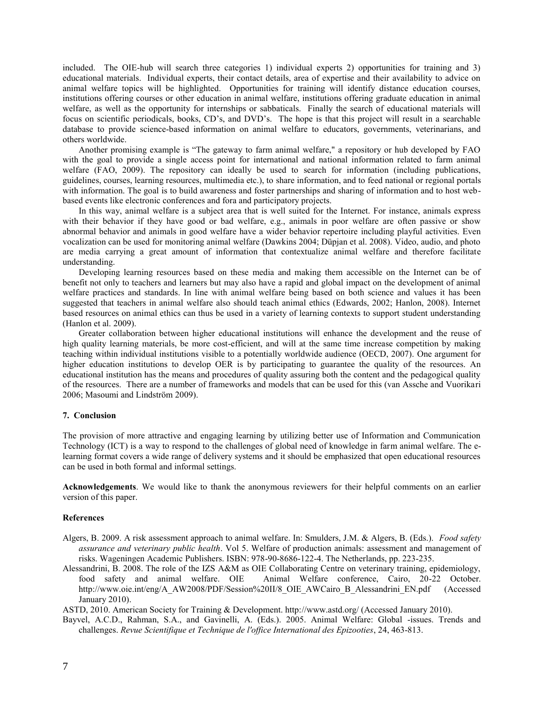included. The OIE-hub will search three categories 1) individual experts 2) opportunities for training and 3) educational materials. Individual experts, their contact details, area of expertise and their availability to advice on animal welfare topics will be highlighted. Opportunities for training will identify distance education courses, institutions offering courses or other education in animal welfare, institutions offering graduate education in animal welfare, as well as the opportunity for internships or sabbaticals. Finally the search of educational materials will focus on scientific periodicals, books, CD's, and DVD's. The hope is that this project will result in a searchable database to provide science-based information on animal welfare to educators, governments, veterinarians, and others worldwide.

Another promising example is "The gateway to farm animal welfare," a repository or hub developed by FAO with the goal to provide a single access point for international and national information related to farm animal welfare (FAO, 2009). The repository can ideally be used to search for information (including publications, guidelines, courses, learning resources, multimedia etc.), to share information, and to feed national or regional portals with information. The goal is to build awareness and foster partnerships and sharing of information and to host webbased events like electronic conferences and fora and participatory projects.

In this way, animal welfare is a subject area that is well suited for the Internet. For instance, animals express with their behavior if they have good or bad welfare, e.g., animals in poor welfare are often passive or show abnormal behavior and animals in good welfare have a wider behavior repertoire including playful activities. Even vocalization can be used for monitoring animal welfare (Dawkins 2004; Düpjan et al. 2008). Video, audio, and photo are media carrying a great amount of information that contextualize animal welfare and therefore facilitate understanding.

Developing learning resources based on these media and making them accessible on the Internet can be of benefit not only to teachers and learners but may also have a rapid and global impact on the development of animal welfare practices and standards. In line with animal welfare being based on both science and values it has been suggested that teachers in animal welfare also should teach animal ethics (Edwards, 2002; Hanlon, 2008). Internet based resources on animal ethics can thus be used in a variety of learning contexts to support student understanding (Hanlon et al. 2009).

Greater collaboration between higher educational institutions will enhance the development and the reuse of high quality learning materials, be more cost-efficient, and will at the same time increase competition by making teaching within individual institutions visible to a potentially worldwide audience (OECD, 2007). One argument for higher education institutions to develop OER is by participating to guarantee the quality of the resources. An educational institution has the means and procedures of quality assuring both the content and the pedagogical quality of the resources. There are a number of frameworks and models that can be used for this (van Assche and Vuorikari 2006; Masoumi and Lindström 2009).

## **7. Conclusion**

The provision of more attractive and engaging learning by utilizing better use of Information and Communication Technology (ICT) is a way to respond to the challenges of global need of knowledge in farm animal welfare. The elearning format covers a wide range of delivery systems and it should be emphasized that open educational resources can be used in both formal and informal settings.

**Acknowledgements**. We would like to thank the anonymous reviewers for their helpful comments on an earlier version of this paper.

#### **References**

- Algers, B. 2009. A risk assessment approach to animal welfare. In: Smulders, J.M. & Algers, B. (Eds.). *Food safety assurance and veterinary public health*. Vol 5. Welfare of production animals: assessment and management of risks. Wageningen Academic Publishers. ISBN: 978-90-8686-122-4. The Netherlands, pp. 223-235.
- Alessandrini, B. 2008. The role of the IZS A&M as OIE Collaborating Centre on veterinary training, epidemiology, food safety and animal welfare. OIE Animal Welfare conference, Cairo, 20-22 October. Animal Welfare conference, Cairo, 20-22 October. http://www.oie.int/eng/A\_AW2008/PDF/Session%20II/8\_OIE\_AWCairo\_B\_Alessandrini\_EN.pdf (Accessed January 2010).

ASTD, 2010. American Society for Training & Development. http://www.astd.org/ (Accessed January 2010).

Bayvel, A.C.D., Rahman, S.A., and Gavinelli, A. (Eds.). 2005. Animal Welfare: Global -issues. Trends and challenges. *Revue Scientifique et Technique de l'office International des Epizooties*, 24, 463-813.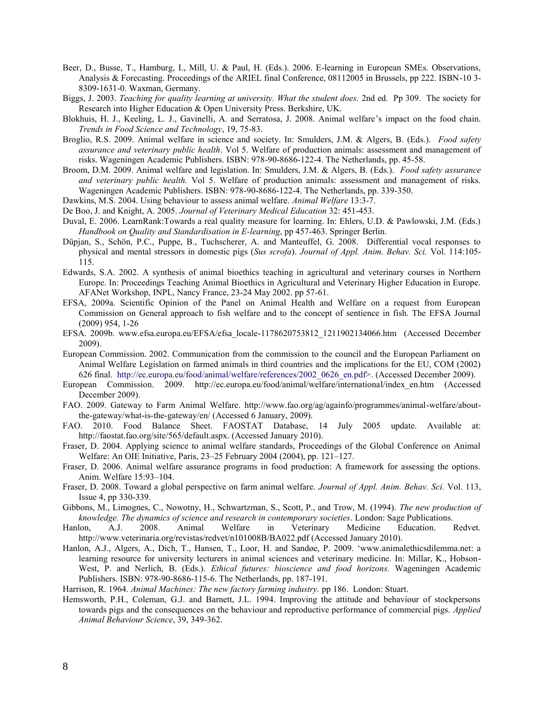- Beer, D., Busse, T., Hamburg, I., Mill, U. & Paul, H. (Eds.). 2006. E-learning in European SMEs. Observations, Analysis & Forecasting. Proceedings of the ARIEL final Conference, 08112005 in Brussels, pp 222. ISBN-10 3- 8309-1631-0. Waxman, Germany.
- Biggs, J. 2003. *Teaching for quality learning at university. What the student does.* 2nd ed*.* Pp 309. The society for Research into Higher Education & Open University Press. Berkshire, UK.
- Blokhuis, H. J., Keeling, L. J., Gavinelli, A. and Serratosa, J. 2008. Animal welfare's impact on the food chain. *Trends in Food Science and Technology*, 19, 75-83.
- Broglio, R.S. 2009. Animal welfare in science and society. In: Smulders, J.M. & Algers, B. (Eds.). *Food safety assurance and veterinary public health*. Vol 5. Welfare of production animals: assessment and management of risks. Wageningen Academic Publishers. ISBN: 978-90-8686-122-4. The Netherlands, pp. 45-58.
- Broom, D.M. 2009. Animal welfare and legislation. In: Smulders, J.M. & Algers, B. (Eds.). *Food safety assurance and veterinary public health.* Vol 5. Welfare of production animals: assessment and management of risks. Wageningen Academic Publishers. ISBN: 978-90-8686-122-4. The Netherlands, pp. 339-350.
- Dawkins, M.S. 2004. Using behaviour to assess animal welfare. *Animal Welfare* 13:3-7.
- De Boo, J. and Knight, A. 2005. *Journal of Veterinary Medical Education* 32: 451-453.
- Duval, E. 2006. LearnRank:Towards a real quality measure for learning. In: Ehlers, U.D. & Pawlowski, J.M. (Eds.) *Handbook on Quality and Standardisation in E-learning*, pp 457-463. Springer Berlin.
- Düpjan, S., Schön, P.C., Puppe, B., Tuchscherer, A. and Manteuffel, G. 2008. Differential vocal responses to physical and mental stressors in domestic pigs (*Sus scrofa*). *Journal of Appl. Anim. Behav. Sci.* Vol. 114:105- 115.
- Edwards, S.A. 2002. A synthesis of animal bioethics teaching in agricultural and veterinary courses in Northern Europe. In: Proceedings Teaching Animal Bioethics in Agricultural and Veterinary Higher Education in Europe. AFANet Workshop, INPL, Nancy France, 23-24 May 2002. pp 57-61.
- EFSA, 2009a. Scientific Opinion of the Panel on Animal Health and Welfare on a request from European Commission on General approach to fish welfare and to the concept of sentience in fish. The EFSA Journal (2009) 954, 1-26
- EFSA. 2009b. www.efsa.europa.eu/EFSA/efsa\_locale-1178620753812\_1211902134066.htm (Accessed December 2009).
- European Commission. 2002. Communication from the commission to the council and the European Parliament on Animal Welfare Legislation on farmed animals in third countries and the implications for the EU, COM (2002) 626 final. http://ec.europa.eu/food/animal/welfare/references/2002\_0626\_en.pdf>. (Accessed December 2009).
- European Commission. 2009. http://ec.europa.eu/food/animal/welfare/international/index\_en.htm (Accessed December 2009).
- FAO. 2009. Gateway to Farm Animal Welfare. http://www.fao.org/ag/againfo/programmes/animal-welfare/aboutthe-gateway/what-is-the-gateway/en/ (Accessed 6 January, 2009).
- FAO. 2010. Food Balance Sheet. FAOSTAT Database, 14 July 2005 update. Available at: http://faostat.fao.org/site/565/default.aspx. (Accessed January 2010).
- Fraser, D. 2004. Applying science to animal welfare standards, Proceedings of the Global Conference on Animal Welfare: An OIE Initiative, Paris, 23–25 February 2004 (2004), pp. 121–127.
- Fraser, D. 2006. Animal welfare assurance programs in food production: A framework for assessing the options. Anim. Welfare 15:93–104.
- Fraser, D. 2008. Toward a global perspective on farm animal welfare. *Journal of Appl. Anim. Behav. Sci.* Vol. 113, Issue 4, pp 330-339.
- Gibbons, M., Limognes, C., Nowotny, H., Schwartzman, S., Scott, P., and Trow, M. (1994). *The new production of knowledge. The dynamics of science and research in contemporary societies*. London: Sage Publications.
- Hanlon, A.J. 2008. Animal Welfare in Veterinary Medicine Education. Redvet. http://www.veterinaria.org/revistas/redvet/n101008B/BA022.pdf (Accessed January 2010).
- Hanlon, A.J., Algers, A., Dich, T., Hansen, T., Loor, H. and Sandøe, P. 2009. 'www.animalethicsdilemma.net: a learning resource for university lecturers in animal sciences and veterinary medicine. In: Millar, K., Hobson-West, P. and Nerlich, B. (Eds.). *Ethical futures: bioscience and food horizons.* Wageningen Academic Publishers. ISBN: 978-90-8686-115-6. The Netherlands, pp. 187-191.
- Harrison, R. 1964. *Animal Machines: The new factory farming industry.* pp 186. London: Stuart.
- Hemsworth, P.H., Coleman, G.J. and Barnett, J.L. 1994. Improving the attitude and behaviour of stockpersons towards pigs and the consequences on the behaviour and reproductive performance of commercial pigs. *Applied Animal Behaviour Science*, 39, 349-362.